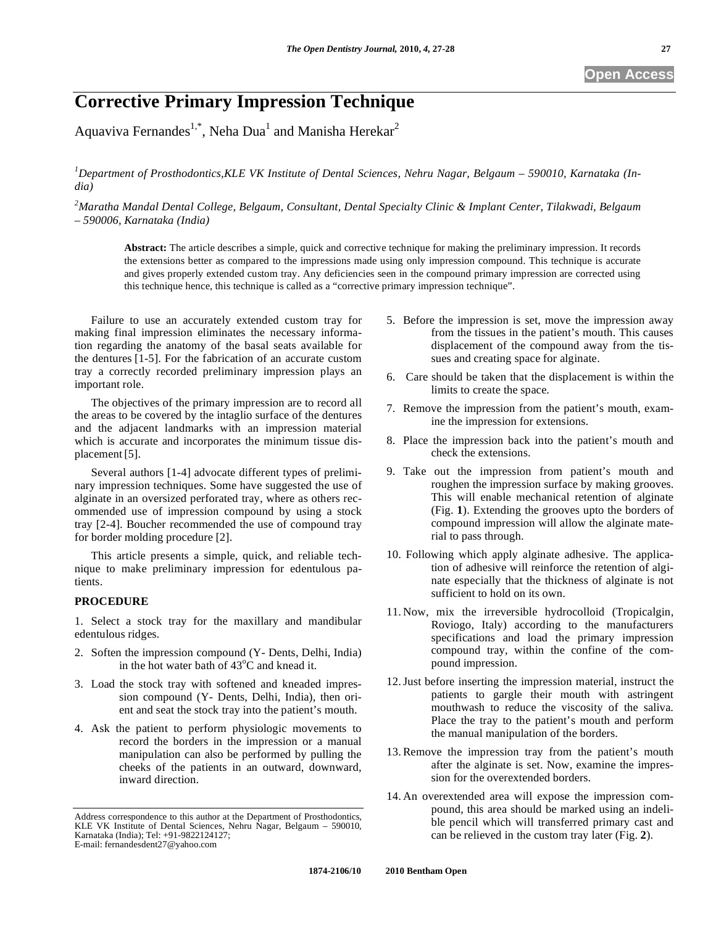# **Corrective Primary Impression Technique**

Aquaviva Fernandes<sup>1,\*</sup>, Neha Dua<sup>1</sup> and Manisha Herekar<sup>2</sup>

*1 Department of Prosthodontics,KLE VK Institute of Dental Sciences, Nehru Nagar, Belgaum – 590010, Karnataka (India)* 

*2 Maratha Mandal Dental College, Belgaum, Consultant, Dental Specialty Clinic & Implant Center, Tilakwadi, Belgaum – 590006, Karnataka (India)* 

**Abstract:** The article describes a simple, quick and corrective technique for making the preliminary impression. It records the extensions better as compared to the impressions made using only impression compound. This technique is accurate and gives properly extended custom tray. Any deficiencies seen in the compound primary impression are corrected using this technique hence, this technique is called as a "corrective primary impression technique".

Failure to use an accurately extended custom tray for making final impression eliminates the necessary information regarding the anatomy of the basal seats available for the dentures [1-5]. For the fabrication of an accurate custom tray a correctly recorded preliminary impression plays an important role.

The objectives of the primary impression are to record all the areas to be covered by the intaglio surface of the dentures and the adjacent landmarks with an impression material which is accurate and incorporates the minimum tissue displacement[5].

Several authors [1-4] advocate different types of preliminary impression techniques. Some have suggested the use of alginate in an oversized perforated tray, where as others recommended use of impression compound by using a stock tray [2-4]. Boucher recommended the use of compound tray for border molding procedure [2].

This article presents a simple, quick, and reliable technique to make preliminary impression for edentulous patients.

#### **PROCEDURE**

1. Select a stock tray for the maxillary and mandibular edentulous ridges.

- 2. Soften the impression compound (Y- Dents, Delhi, India) in the hot water bath of  $43^{\circ}$ C and knead it.
- 3. Load the stock tray with softened and kneaded impression compound (Y- Dents, Delhi, India), then orient and seat the stock tray into the patient's mouth.
- 4. Ask the patient to perform physiologic movements to record the borders in the impression or a manual manipulation can also be performed by pulling the cheeks of the patients in an outward, downward, inward direction.
- 5. Before the impression is set, move the impression away from the tissues in the patient's mouth. This causes displacement of the compound away from the tissues and creating space for alginate.
- 6. Care should be taken that the displacement is within the limits to create the space.
- 7. Remove the impression from the patient's mouth, examine the impression for extensions.
- 8. Place the impression back into the patient's mouth and check the extensions.
- 9. Take out the impression from patient's mouth and roughen the impression surface by making grooves. This will enable mechanical retention of alginate (Fig. **1**). Extending the grooves upto the borders of compound impression will allow the alginate material to pass through.
- 10. Following which apply alginate adhesive. The application of adhesive will reinforce the retention of alginate especially that the thickness of alginate is not sufficient to hold on its own.
- 11. Now, mix the irreversible hydrocolloid (Tropicalgin, Roviogo, Italy) according to the manufacturers specifications and load the primary impression compound tray, within the confine of the compound impression.
- 12.Just before inserting the impression material, instruct the patients to gargle their mouth with astringent mouthwash to reduce the viscosity of the saliva. Place the tray to the patient's mouth and perform the manual manipulation of the borders.
- 13.Remove the impression tray from the patient's mouth after the alginate is set. Now, examine the impression for the overextended borders.
- 14. An overextended area will expose the impression compound, this area should be marked using an indelible pencil which will transferred primary cast and can be relieved in the custom tray later (Fig. **2**).

Address correspondence to this author at the Department of Prosthodontics, KLE VK Institute of Dental Sciences, Nehru Nagar, Belgaum – 590010, Karnataka (India); Tel: +91-9822124127; E-mail: fernandesdent27@yahoo.com